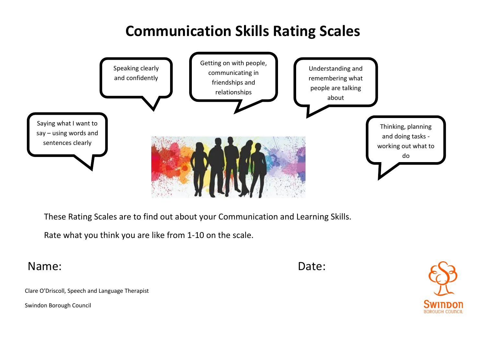## **Communication Skills Rating Scales**



These Rating Scales are to find out about your Communication and Learning Skills.

Rate what you think you are like from 1-10 on the scale.

Name: **Date:** Date:



Clare O'Driscoll, Speech and Language Therapist

Swindon Borough Council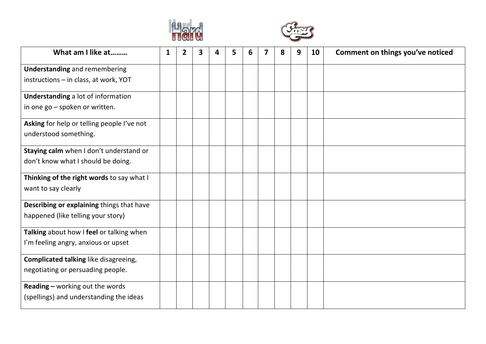



| What am I like at                          | 1 | 2 | 3 | 5 | 6 | 8 | 9 | 10 | Comment on things you've noticed |
|--------------------------------------------|---|---|---|---|---|---|---|----|----------------------------------|
| <b>Understanding and remembering</b>       |   |   |   |   |   |   |   |    |                                  |
| instructions - in class, at work, YOT      |   |   |   |   |   |   |   |    |                                  |
| <b>Understanding a lot of information</b>  |   |   |   |   |   |   |   |    |                                  |
| in one go - spoken or written.             |   |   |   |   |   |   |   |    |                                  |
| Asking for help or telling people I've not |   |   |   |   |   |   |   |    |                                  |
| understood something.                      |   |   |   |   |   |   |   |    |                                  |
| Staying calm when I don't understand or    |   |   |   |   |   |   |   |    |                                  |
| don't know what I should be doing.         |   |   |   |   |   |   |   |    |                                  |
| Thinking of the right words to say what I  |   |   |   |   |   |   |   |    |                                  |
| want to say clearly                        |   |   |   |   |   |   |   |    |                                  |
| Describing or explaining things that have  |   |   |   |   |   |   |   |    |                                  |
| happened (like telling your story)         |   |   |   |   |   |   |   |    |                                  |
| Talking about how I feel or talking when   |   |   |   |   |   |   |   |    |                                  |
| I'm feeling angry, anxious or upset        |   |   |   |   |   |   |   |    |                                  |
| Complicated talking like disagreeing,      |   |   |   |   |   |   |   |    |                                  |
| negotiating or persuading people.          |   |   |   |   |   |   |   |    |                                  |
| <b>Reading - working out the words</b>     |   |   |   |   |   |   |   |    |                                  |
| (spellings) and understanding the ideas    |   |   |   |   |   |   |   |    |                                  |